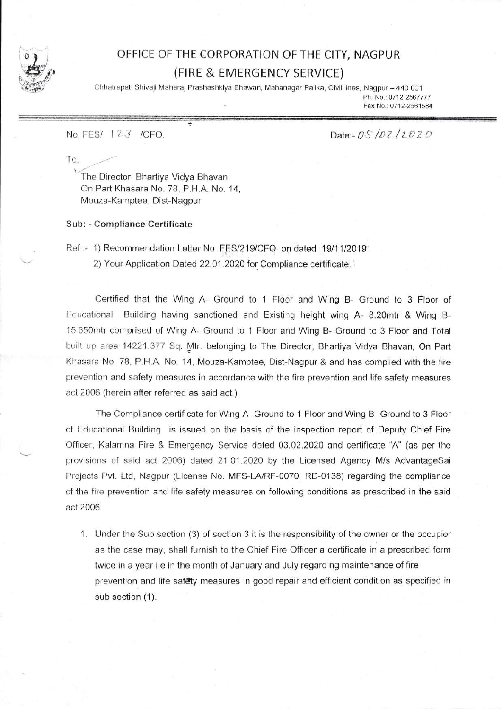

## OFFICE OF THE CORPORATION OF THE CITY, NAGPUR (FIRE & EMERGENCY SERVICE)

Chhatrapati Shivaji Maharaj Prashashkiya Bhawan, Mahanagar Palika, Civil lines, Nagpur - 440 001 Ph. No.: 0712-2567777

Fax No.: 0712-2561584

No. FES/ 123 /CFO.

Date:-  $0.5/02/2020$ 

T0,

The Director, Bhartiya Vidya Bhavan, On Part Khasara No. 78, P.H.A. No. 14, Mouza-Kamptee, Dist-Nagpur

Sub: - Compliance Certificate

Ref :- 1) Recommendation Letter No. FES/219/CFO on dated 19/11/2019

2) Your Application Dated 22.01.2020 for Compliance certificate.

Certified that the Wing A- Ground to 1 Floor and Wing B- Ground to 3 Floor of Educational Building having sanctioned and Existing height wing A- 8.20mtr & Wing B-15.650mtr comprised of Wing A- Ground to 1 Floor and Wing B- Ground to 3 Floor and Total built up area 14221.377 Sq. Mtr. belonging to The Director, Bhartiya Vidya Bhavan, On Part Khasara No. 78, P.H.A. No. 14, Mouza-Kamptee, Dist-Nagpur & and has complied with the fire prevention and safety measures in accordance with the fire prevention and life safety measures aci 200S (herein after referred as said act.)

The Compliance certificate for Wing A- Ground to 1 Floor and Wing B- Ground to 3 Floor of Educational Building is issued on the basis of the inspection report of Deputy Chief Fire Officer, Kalamna Fire & Emergency Service dated 03.02.2020 and certificate "A" (as per the provisions of said act 2006) dated 21.01.2020 by the Licensed Agency M/s AdvantageSai Projects Pvt. Ltd, Nagpur (License No. MFS-LA/RF-0070, RD-0138) regarding the compliance of the fire prevention and life safety measures on following conditions as prescribed in the said act 2006

1. Under the Sub section (3) of section 3 it is the responsibility of the owner or the occupier as the case may, shall furnish to the Chief Fire Officer a certificate in a prescribed form twice in a year i.e in the month of January and July regarding maintenance of fire prevention and life safety measures in good repair and efficient condition as specified in sub section (1).